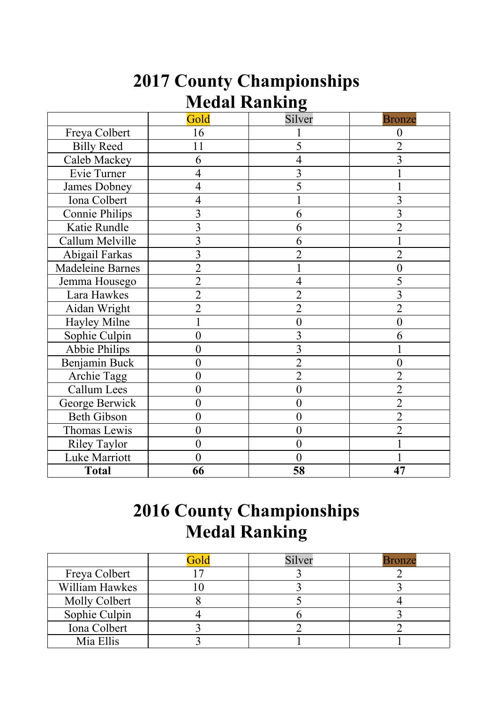|                      | <b>2017 County Championships</b> |  |  |  |  |  |  |
|----------------------|----------------------------------|--|--|--|--|--|--|
| <b>Medal Ranking</b> |                                  |  |  |  |  |  |  |

|                         | Gold             | o<br>Silver    | <b>Bronze</b>  |
|-------------------------|------------------|----------------|----------------|
| Freya Colbert           | 16               |                | 0              |
| <b>Billy Reed</b>       | 11               | 5              | 2              |
| Caleb Mackey            | 6                | $\overline{4}$ | $\overline{3}$ |
| Evie Turner             | $\overline{4}$   | $\overline{3}$ |                |
| James Dobney            | $\overline{4}$   | 5              |                |
| Iona Colbert            | $\overline{4}$   |                | 3              |
| <b>Connie Philips</b>   | 3                | 6              | 3              |
| Katie Rundle            | 3                | 6              | $\overline{2}$ |
| Callum Melville         | 3                | 6              |                |
| Abigail Farkas          | 3                | $\overline{2}$ | $\overline{2}$ |
| <b>Madeleine Barnes</b> | $\overline{2}$   |                | 0              |
| Jemma Housego           | $\overline{2}$   | 4              | 5              |
| Lara Hawkes             | $\overline{2}$   | $\overline{2}$ | 3              |
| Aidan Wright            | $\overline{2}$   | $\overline{2}$ | $\overline{2}$ |
| Hayley Milne            |                  | $\overline{0}$ | $\overline{0}$ |
| Sophie Culpin           | $\overline{0}$   | 3              | 6              |
| <b>Abbie Philips</b>    | $\overline{0}$   | 3              |                |
| Benjamin Buck           | $\overline{0}$   | $\overline{2}$ | $\overline{0}$ |
| Archie Tagg             | $\overline{0}$   | $\overline{2}$ | $\overline{2}$ |
| <b>Callum Lees</b>      | 0                | $\overline{0}$ | $\overline{2}$ |
| George Berwick          | $\boldsymbol{0}$ | $\overline{0}$ | $\overline{2}$ |
| <b>Beth Gibson</b>      | $\overline{0}$   | $\overline{0}$ | $\overline{2}$ |
| Thomas Lewis            | $\overline{0}$   | $\overline{0}$ | $\overline{2}$ |
| <b>Riley Taylor</b>     | $\boldsymbol{0}$ | $\overline{0}$ |                |
| Luke Marriott           | $\overline{0}$   | $\theta$       |                |
| <b>Total</b>            | 66               | 58             | 47             |

## **2016 County Championships Medal Ranking**

|                      | Gold | Silver | 3ronze |
|----------------------|------|--------|--------|
| Freya Colbert        |      |        |        |
| William Hawkes       |      |        |        |
| <b>Molly Colbert</b> |      |        |        |
| Sophie Culpin        |      |        |        |
| Iona Colbert         |      |        |        |
| Mia Ellis            |      |        |        |